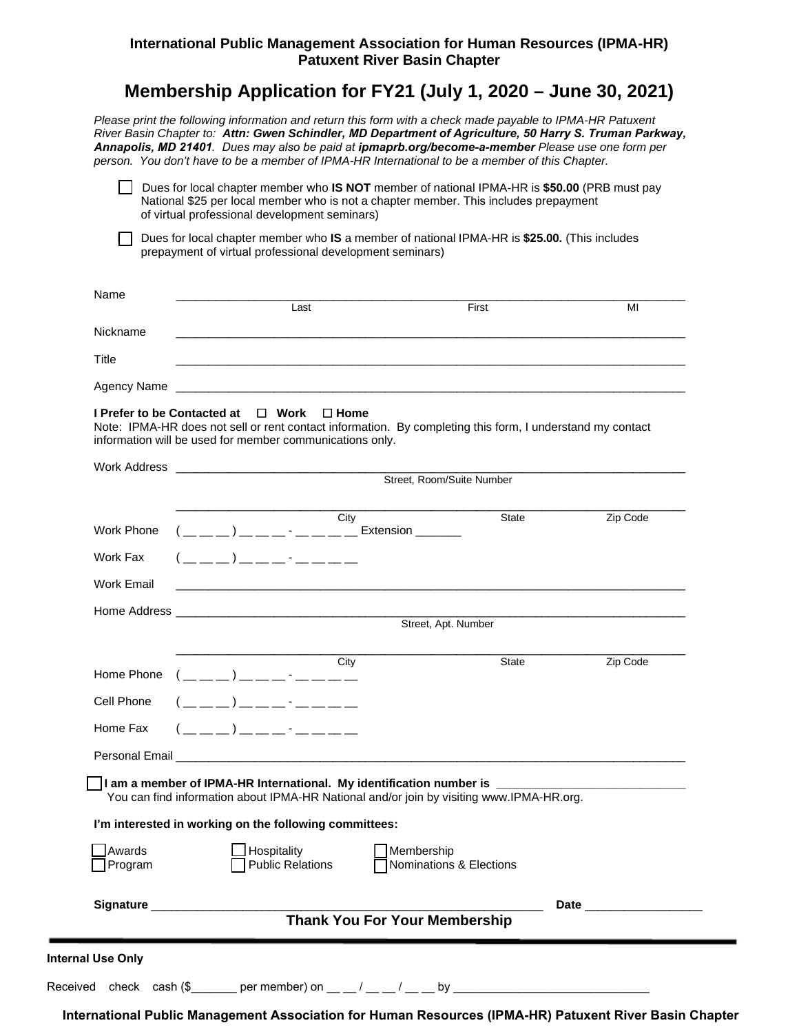## **International Public Management Association for Human Resources (IPMA-HR) Patuxent River Basin Chapter**

## **Membership Application for FY21 (July 1, 2020 – June 30, 2021)**

*Please print the following information and return this form with a check made payable to IPMA-HR Patuxent River Basin Chapter to: Attn: Gwen Schindler, MD Department of Agriculture, 50 Harry S. Truman Parkway, Annapolis, MD 21401. Dues may also be paid at ipmaprb.org/become-a-member Please use one form per person. You don't have to be a member of IPMA-HR International to be a member of this Chapter.* 

 Dues for local chapter member who **IS NOT** member of national IPMA-HR is **\$50.00** (PRB must pay National \$25 per local member who is not a chapter member. This includes prepayment of virtual professional development seminars)

 Dues for local chapter member who **IS** a member of national IPMA-HR is **\$25.00.** (This includes prepayment of virtual professional development seminars)

| Name        |      |       |    |
|-------------|------|-------|----|
|             | Last | First | MI |
| Nickname    |      |       |    |
| Title       |      |       |    |
| Agency Name |      |       |    |
|             |      |       |    |

## **I Prefer to be Contacted at □ Work □ Home**

Note: IPMA-HR does not sell or rent contact information. By completing this form, I understand my contact information will be used for member communications only.

|                   |                                                                                                                                                                                                                                                                                                                        |                                                                                                                                                                                                                                      | Street, Room/Suite Number                                                                                                                                                                      |          |
|-------------------|------------------------------------------------------------------------------------------------------------------------------------------------------------------------------------------------------------------------------------------------------------------------------------------------------------------------|--------------------------------------------------------------------------------------------------------------------------------------------------------------------------------------------------------------------------------------|------------------------------------------------------------------------------------------------------------------------------------------------------------------------------------------------|----------|
| <b>Work Phone</b> |                                                                                                                                                                                                                                                                                                                        | City<br>( __ _) _ _ _ _ - _ _ _ _ _ Extension _____                                                                                                                                                                                  | State                                                                                                                                                                                          | Zip Code |
| Work Fax          | $(\_\_ \_ )$ $\_\_$                                                                                                                                                                                                                                                                                                    |                                                                                                                                                                                                                                      |                                                                                                                                                                                                |          |
| Work Email        |                                                                                                                                                                                                                                                                                                                        |                                                                                                                                                                                                                                      |                                                                                                                                                                                                |          |
|                   |                                                                                                                                                                                                                                                                                                                        |                                                                                                                                                                                                                                      | Street, Apt. Number                                                                                                                                                                            |          |
|                   |                                                                                                                                                                                                                                                                                                                        | $\overline{\text{City}}$                                                                                                                                                                                                             | State                                                                                                                                                                                          | Zip Code |
|                   | Home Phone $($ _ _ _ _ ) _ _ _ _ - _ _ _ _ _                                                                                                                                                                                                                                                                           |                                                                                                                                                                                                                                      |                                                                                                                                                                                                |          |
| Cell Phone        | $($ $\frac{1}{2}$ $\frac{1}{2}$ $\frac{1}{2}$ $\frac{1}{2}$ $\frac{1}{2}$ $\frac{1}{2}$ $\frac{1}{2}$ $\frac{1}{2}$ $\frac{1}{2}$ $\frac{1}{2}$ $\frac{1}{2}$ $\frac{1}{2}$ $\frac{1}{2}$ $\frac{1}{2}$ $\frac{1}{2}$ $\frac{1}{2}$ $\frac{1}{2}$ $\frac{1}{2}$ $\frac{1}{2}$ $\frac{1}{2}$ $\frac{1}{2}$ $\frac{1}{2$ |                                                                                                                                                                                                                                      |                                                                                                                                                                                                |          |
| Home Fax          | $($ $\frac{1}{2}$ $\frac{1}{2}$ $\frac{1}{2}$ $\frac{1}{2}$ $\frac{1}{2}$ $\frac{1}{2}$ $\frac{1}{2}$ $\frac{1}{2}$ $\frac{1}{2}$ $\frac{1}{2}$ $\frac{1}{2}$ $\frac{1}{2}$ $\frac{1}{2}$ $\frac{1}{2}$ $\frac{1}{2}$ $\frac{1}{2}$ $\frac{1}{2}$ $\frac{1}{2}$ $\frac{1}{2}$ $\frac{1}{2}$ $\frac{1}{2}$ $\frac{1}{2$ |                                                                                                                                                                                                                                      |                                                                                                                                                                                                |          |
|                   |                                                                                                                                                                                                                                                                                                                        | Personal Email <b>Executive Contract Contract Contract Contract Contract Contract Contract Contract Contract Contract Contract Contract Contract Contract Contract Contract Contract Contract Contract Contract Contract Contrac</b> |                                                                                                                                                                                                |          |
|                   |                                                                                                                                                                                                                                                                                                                        |                                                                                                                                                                                                                                      | 1 am a member of IPMA-HR International. My identification number is ______________________________<br>You can find information about IPMA-HR National and/or join by visiting www.IPMA-HR.org. |          |
|                   | I'm interested in working on the following committees:                                                                                                                                                                                                                                                                 |                                                                                                                                                                                                                                      |                                                                                                                                                                                                |          |
|                   |                                                                                                                                                                                                                                                                                                                        | Hospitality<br><b>Public Relations</b>                                                                                                                                                                                               | Membership<br>Nominations & Elections                                                                                                                                                          |          |
| Awards<br>Program |                                                                                                                                                                                                                                                                                                                        |                                                                                                                                                                                                                                      |                                                                                                                                                                                                |          |

**International Public Management Association for Human Resources (IPMA-HR) Patuxent River Basin Chapter**